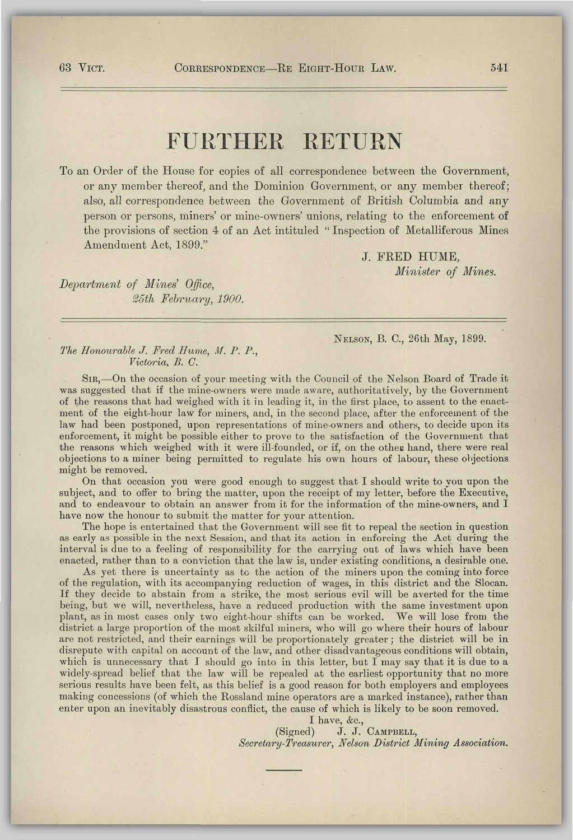## FURTHER RETURN

To an Order of the House for copies of all correspondence between the Government, or any member thereof, and the Dominion Government, or any member thereof; also, all correspondence between the Government of British Columbia and any person or persons, miners' or mine-owners' unions, relating to the enforcement of the provisions of section 4 of an Act intituled " Inspection of Metalliferous Mines Amendment Act, 1899."

J. FRED HUME, *Minister of Mines.* 

*Department of Mines' Office, 25th February, 1900.* 

## NELSON, B. C, 26th May, 1899.

## *The Honourable J. Fred Hume, M. P. P., Victoria, B. C.*

SIR,—On the occasion of your meeting with the Council of the Nelson Board of Trade it was suggested that if the mine-owners were made aware, authoritatively, by the Government of the reasons that had weighed with it in leading it, in the first place, to assent to the enactment of the eight-hour law for miners, and, in the second place, after the enforcement of the law had been postponed, upon representations of mine-owners and others, to decide upon its enforcement, it might be possible either to prove to the satisfaction of the Government that the reasons which weighed with it were ill-founded, or if, on the otheu hand, there were real objections to a miner being permitted to regulate his own hours of labour, these objections might be removed.

On that occasion you were good enough to suggest that I should write to you upon the subject, and to offer to bring the matter, upon the receipt of my letter, before the Executive, and to endeavour to obtain an answer from it for the information of the mine-owners, and I have now the honour to submit the matter for your attention.

The hope is entertained that the Government will see fit to repeal the section in question as early as possible in the next Session, and that its action in enforcing the Act during the interval is due to a feeling of responsibility for the carrying out of laws which have been enacted, rather than to a conviction that the law is, under existing conditions, a desirable one.

As yet there is uncertainty as to the action of the miners upon the coming into force of the regulation, with its accompanying reduction of wages, in this district and the Slocan. If they decide to abstain from a strike, the most serious evil will be averted for the time being, but we will, nevertheless, have a reduced production with the same investment upon plant, as in most cases only two eight-hour shifts can be worked. We will lose from the district a large proportion of the most skilful miners, who will go where their hours of labour are not restricted, and their earnings will be proportionately greater*;* the district will be in disrepute with capital on account of the law, and other disadvantageous conditions will obtain, which is unnecessary that I should go into in this letter, but I may say that it is due to a widely-spread belief that the law will be repealed at the earliest opportunity that no more serious results have been felt, as this belief is a good reason for both employers and employees making concessions (of which the Rossland mine operators are a marked instance), rather than enter upon an inevitably disastrous conflict, the cause of which is likely to be soon removed.

 $I$  have, &c.,<br>(Signed)  $J$ . J.

J. J. CAMPBELL, *Secretary-Treasurer, Nelson District Mining Association.*